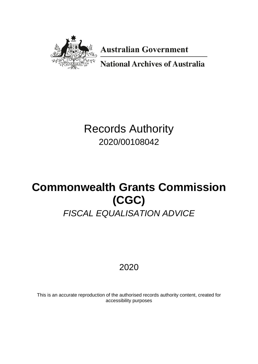

**Australian Government** 

**National Archives of Australia** 

# Records Authority 2020/00108042

# **Commonwealth Grants Commission (CGC)** *FISCAL EQUALISATION ADVICE*

## 2020

This is an accurate reproduction of the authorised records authority content, created for accessibility purposes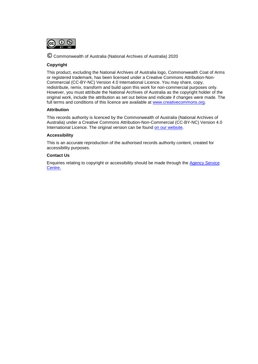

© Commonwealth of Australia (National Archives of Australia) 2020

#### **Copyright**

This product, excluding the National Archives of Australia logo, Commonwealth Coat of Arms or registered trademark, has been licensed under a Creative Commons Attribution-Non-Commercial (CC-BY-NC) Version 4.0 International Licence. You may share, copy, redistribute, remix, transform and build upon this work for non-commercial purposes only. However, you must attribute the National Archives of Australia as the copyright holder of the original work, include the attribution as set out below and indicate if changes were made. The full terms and conditions of this licence are available at [www.creativecommons.org.](http://www.creativecommons.org/)

#### **Attribution**

This records authority is licenced by the Commonwealth of Australia (National Archives of Australia) under a Creative Commons Attribution-Non-Commercial (CC-BY-NC) Version 4.0 International Licence. The original version can be found [on our website.](http://www.naa.gov.au/)

#### **Accessibility**

This is an accurate reproduction of the authorised records authority content, created for accessibility purposes.

#### **Contact Us**

Enquiries relating to copyright or accessibility should be made through the [Agency Service](https://www.naa.gov.au/information-management/agency-service-centre)  [Centre.](https://www.naa.gov.au/information-management/agency-service-centre)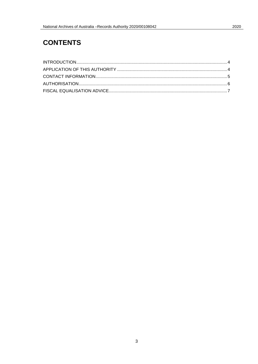### **CONTENTS**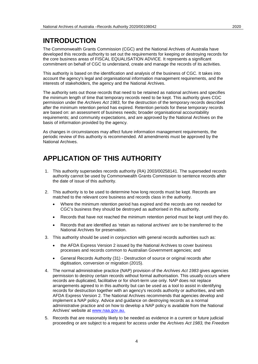### <span id="page-3-0"></span>**INTRODUCTION**

The Commonwealth Grants Commission (CGC) and the National Archives of Australia have developed this records authority to set out the requirements for keeping or destroying records for the core business areas of FISCAL EQUALISATION ADVICE. It represents a significant commitment on behalf of CGC to understand, create and manage the records of its activities.

This authority is based on the identification and analysis of the business of CGC. It takes into account the agency's legal and organisational information management requirements, and the interests of stakeholders, the agency and the National Archives.

The authority sets out those records that need to be retained as national archives and specifies the minimum length of time that temporary records need to be kept. This authority gives CGC permission under the *Archives Act 1983*, for the destruction of the temporary records described after the minimum retention period has expired. Retention periods for these temporary records are based on: an assessment of business needs; broader organisational accountability requirements; and community expectations, and are approved by the National Archives on the basis of information provided by the agency.

As changes in circumstances may affect future information management requirements, the periodic review of this authority is recommended. All amendments must be approved by the National Archives.

### <span id="page-3-1"></span>**APPLICATION OF THIS AUTHORITY**

- 1. This authority supersedes records authority (RA) 2003/00258141. The superseded records authority cannot be used by Commonwealth Grants Commission to sentence records after the date of issue of this authority.
- 2. This authority is to be used to determine how long records must be kept. Records are matched to the relevant core business and records class in the authority.
	- Where the minimum retention period has expired and the records are not needed for CGC's business they should be destroyed as authorised in this authority.
	- Records that have not reached the minimum retention period must be kept until they do.
	- Records that are identified as 'retain as national archives' are to be transferred to the National Archives for preservation.
- 3. This authority should be used in conjunction with general records authorities such as:
	- the AFDA Express Version 2 issued by the National Archives to cover business processes and records common to Australian Government agencies; and
	- General Records Authority (31) Destruction of source or original records after digitisation, conversion or migration (2015).
- 4. The normal administrative practice (NAP) provision of the *Archives Act 1983* gives agencies permission to destroy certain records without formal authorisation. This usually occurs where records are duplicated, facilitative or for short-term use only. NAP does not replace arrangements agreed to in this authority but can be used as a tool to assist in identifying records for destruction together with an agency's records authority or authorities, and with AFDA Express Version 2. The National Archives recommends that agencies develop and implement a NAP policy. Advice and guidance on destroying records as a normal administrative practice and on how to develop a NAP policy is available from the National Archives' website at [www.naa.gov.au.](http://www.naa.gov.au/)
- 5. Records that are reasonably likely to be needed as evidence in a current or future judicial proceeding or are subject to a request for access under the *Archives Act 1983,* the *Freedom*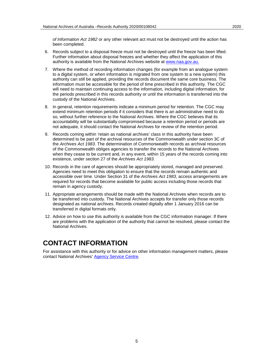*of Information Act 1982* or any other relevant act must not be destroyed until the action has been completed.

- 6. Records subject to a disposal freeze must not be destroyed until the freeze has been lifted. Further information about disposal freezes and whether they affect the application of this authority is available from the National Archives website at [www.naa.gov.au.](http://www.naa.gov.au/)
- 7. Where the method of recording information changes (for example from an analogue system to a digital system, or when information is migrated from one system to a new system) this authority can still be applied, providing the records document the same core business. The information must be accessible for the period of time prescribed in this authority. The CGC will need to maintain continuing access to the information, including digital information, for the periods prescribed in this records authority or until the information is transferred into the custody of the National Archives.
- 8. In general, retention requirements indicate a minimum period for retention. The CGC may extend minimum retention periods if it considers that there is an administrative need to do so, without further reference to the National Archives. Where the CGC believes that its accountability will be substantially compromised because a retention period or periods are not adequate, it should contact the National Archives for review of the retention period.
- 9. Records coming within 'retain as national archives' class in this authority have been determined to be part of the archival resources of the Commonwealth under section 3C of the *Archives Act 1983*. The determination of Commonwealth records as archival resources of the Commonwealth obliges agencies to transfer the records to the National Archives when they cease to be current and, in any event, within 15 years of the records coming into existence, under section 27 of the *Archives Act 1983*.
- 10. Records in the care of agencies should be appropriately stored, managed and preserved. Agencies need to meet this obligation to ensure that the records remain authentic and accessible over time. Under Section 31 of the *Archives Act 1983*, access arrangements are required for records that become available for public access including those records that remain in agency custody.
- 11. Appropriate arrangements should be made with the National Archives when records are to be transferred into custody. The National Archives accepts for transfer only those records designated as national archives. Records created digitally after 1 January 2016 can be transferred in digital formats only.
- 12. Advice on how to use this authority is available from the CGC information manager. If there are problems with the application of the authority that cannot be resolved, please contact the National Archives.

### <span id="page-4-0"></span>**CONTACT INFORMATION**

For assistance with this authority or for advice on other information management matters, please contact National Archives' [Agency Service Centre.](https://www.naa.gov.au/information-management/agency-service-centre)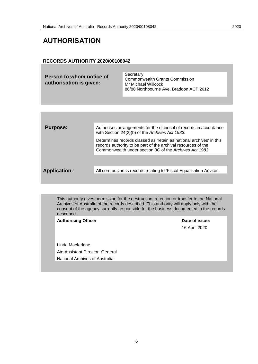### <span id="page-5-0"></span>**AUTHORISATION**

#### **RECORDS AUTHORITY 2020/00108042**

| Secretary<br>Person to whom notice of<br><b>Commonwealth Grants Commission</b><br>authorisation is given:<br>Mr Michael Willcock<br>86/88 Northbourne Ave, Braddon ACT 2612 |  |
|-----------------------------------------------------------------------------------------------------------------------------------------------------------------------------|--|
|-----------------------------------------------------------------------------------------------------------------------------------------------------------------------------|--|

| <b>Purpose:</b>     | Authorises arrangements for the disposal of records in accordance<br>with Section 24(2)(b) of the Archives Act 1983.                                                                            |
|---------------------|-------------------------------------------------------------------------------------------------------------------------------------------------------------------------------------------------|
|                     | Determines records classed as 'retain as national archives' in this<br>records authority to be part of the archival resources of the<br>Commonwealth under section 3C of the Archives Act 1983. |
|                     |                                                                                                                                                                                                 |
| <b>Application:</b> | All core business records relating to 'Fiscal Equalisation Advice'.                                                                                                                             |
|                     |                                                                                                                                                                                                 |

This authority gives permission for the destruction, retention or transfer to the National Archives of Australia of the records described. This authority will apply only with the consent of the agency currently responsible for the business documented in the records described.

Authorising Officer **Contract Contract Contract Contract Contract Contract Contract Contract Contract Contract Contract Contract Contract Contract Contract Contract Contract Contract Contract Contract Contract Contract Con** 16 April 2020 Linda Macfarlane A/g Assistant Director- General National Archives of Australia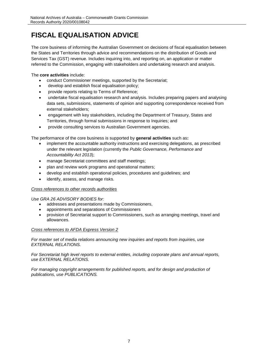### <span id="page-6-0"></span>**FISCAL EQUALISATION ADVICE**

The core business of informing the Australian Government on decisions of fiscal equalisation between the States and Territories through advice and recommendations on the distribution of Goods and Services Tax (GST) revenue. Includes inquiring into, and reporting on, an application or matter referred to the Commission, engaging with stakeholders and undertaking research and analysis.

The **core activities** include:

- conduct Commissioner meetings, supported by the Secretariat;
- develop and establish fiscal equalisation policy;
- provide reports relating to Terms of Reference;
- undertake fiscal equalisation research and analysis. Includes preparing papers and analysing data sets, submissions, statements of opinion and supporting correspondence received from external stakeholders;
- engagement with key stakeholders, including the Department of Treasury, States and Territories, through formal submissions in response to Inquiries; and
- provide consulting services to Australian Government agencies.

The performance of the core business is supported by **general activities** such as**:**

- implement the accountable authority instructions and exercising delegations, as prescribed under the relevant legislation (currently the *Public Governance, Performance and Accountability Act 2013*);
- manage Secretariat committees and staff meetings;
- plan and review work programs and operational matters;
- develop and establish operational policies, procedures and guidelines; and
- identify, assess, and manage risks.

### *Cross references to other records authorities*

*Use GRA 26 ADVISORY BODIES for:*

- addresses and presentations made by Commissioners,
- appointments and separations of Commissioners
- provision of Secretariat support to Commissioners, such as arranging meetings, travel and allowances.

#### *Cross references to AFDA Express Version 2*

*For master set of media relations announcing new inquiries and reports from inquiries, use EXTERNAL RELATIONS.*

*For Secretariat high level reports to external entities, including corporate plans and annual reports, use EXTERNAL RELATIONS.*

For managing copyright arrangements for published reports, and for design and production of *publications, use PUBLICATIONS.*